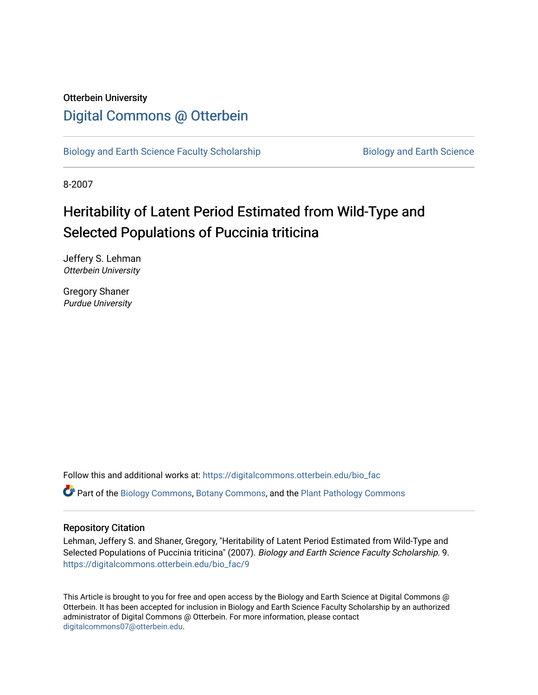# Otterbein University [Digital Commons @ Otterbein](https://digitalcommons.otterbein.edu/)

[Biology and Earth Science Faculty Scholarship](https://digitalcommons.otterbein.edu/bio_fac) **Biology and Earth Science** 

8-2007

# Heritability of Latent Period Estimated from Wild-Type and Selected Populations of Puccinia triticina

Jeffery S. Lehman Otterbein University

Gregory Shaner Purdue University

Follow this and additional works at: [https://digitalcommons.otterbein.edu/bio\\_fac](https://digitalcommons.otterbein.edu/bio_fac?utm_source=digitalcommons.otterbein.edu%2Fbio_fac%2F9&utm_medium=PDF&utm_campaign=PDFCoverPages)

Part of the [Biology Commons,](http://network.bepress.com/hgg/discipline/41?utm_source=digitalcommons.otterbein.edu%2Fbio_fac%2F9&utm_medium=PDF&utm_campaign=PDFCoverPages) [Botany Commons,](http://network.bepress.com/hgg/discipline/104?utm_source=digitalcommons.otterbein.edu%2Fbio_fac%2F9&utm_medium=PDF&utm_campaign=PDFCoverPages) and the [Plant Pathology Commons](http://network.bepress.com/hgg/discipline/107?utm_source=digitalcommons.otterbein.edu%2Fbio_fac%2F9&utm_medium=PDF&utm_campaign=PDFCoverPages)

# Repository Citation

Lehman, Jeffery S. and Shaner, Gregory, "Heritability of Latent Period Estimated from Wild-Type and Selected Populations of Puccinia triticina" (2007). Biology and Earth Science Faculty Scholarship. 9. [https://digitalcommons.otterbein.edu/bio\\_fac/9](https://digitalcommons.otterbein.edu/bio_fac/9?utm_source=digitalcommons.otterbein.edu%2Fbio_fac%2F9&utm_medium=PDF&utm_campaign=PDFCoverPages)

This Article is brought to you for free and open access by the Biology and Earth Science at Digital Commons @ Otterbein. It has been accepted for inclusion in Biology and Earth Science Faculty Scholarship by an authorized administrator of Digital Commons @ Otterbein. For more information, please contact [digitalcommons07@otterbein.edu](mailto:digitalcommons07@otterbein.edu).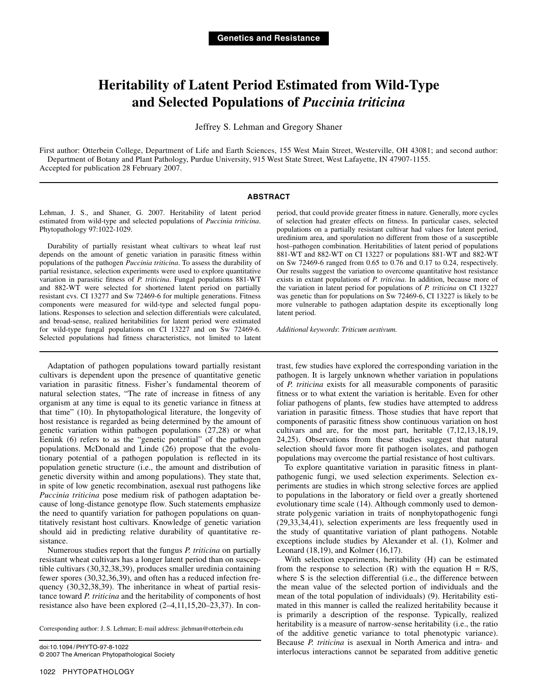# **Heritability of Latent Period Estimated from Wild-Type and Selected Populations of** *Puccinia triticina*

Jeffrey S. Lehman and Gregory Shaner

First author: Otterbein College, Department of Life and Earth Sciences, 155 West Main Street, Westerville, OH 43081; and second author: Department of Botany and Plant Pathology, Purdue University, 915 West State Street, West Lafayette, IN 47907-1155. Accepted for publication 28 February 2007.

#### **ABSTRACT**

Lehman, J. S., and Shaner, G. 2007. Heritability of latent period estimated from wild-type and selected populations of *Puccinia triticina*. Phytopathology 97:1022-1029.

Durability of partially resistant wheat cultivars to wheat leaf rust depends on the amount of genetic variation in parasitic fitness within populations of the pathogen *Puccinia triticina*. To assess the durability of partial resistance, selection experiments were used to explore quantitative variation in parasitic fitness of *P. triticina*. Fungal populations 881-WT and 882-WT were selected for shortened latent period on partially resistant cvs. CI 13277 and Sw 72469-6 for multiple generations. Fitness components were measured for wild-type and selected fungal populations. Responses to selection and selection differentials were calculated, and broad-sense, realized heritabilities for latent period were estimated for wild-type fungal populations on CI 13227 and on Sw 72469-6. Selected populations had fitness characteristics, not limited to latent

Adaptation of pathogen populations toward partially resistant cultivars is dependent upon the presence of quantitative genetic variation in parasitic fitness. Fisher's fundamental theorem of natural selection states, "The rate of increase in fitness of any organism at any time is equal to its genetic variance in fitness at that time" (10). In phytopathological literature, the longevity of host resistance is regarded as being determined by the amount of genetic variation within pathogen populations (27,28) or what Eenink (6) refers to as the "genetic potential" of the pathogen populations. McDonald and Linde (26) propose that the evolutionary potential of a pathogen population is reflected in its population genetic structure (i.e., the amount and distribution of genetic diversity within and among populations). They state that, in spite of low genetic recombination, asexual rust pathogens like *Puccinia triticina* pose medium risk of pathogen adaptation because of long-distance genotype flow. Such statements emphasize the need to quantify variation for pathogen populations on quantitatively resistant host cultivars. Knowledge of genetic variation should aid in predicting relative durability of quantitative resistance.

Numerous studies report that the fungus *P. triticina* on partially resistant wheat cultivars has a longer latent period than on susceptible cultivars (30,32,38,39), produces smaller uredinia containing fewer spores (30,32,36,39), and often has a reduced infection frequency (30,32,38,39). The inheritance in wheat of partial resistance toward *P. triticina* and the heritability of components of host resistance also have been explored (2–4,11,15,20–23,37). In con-

Corresponding author: J. S. Lehman; E-mail address: jlehman@otterbein.edu

doi:10.1094/ PHYTO-97-8-1022 © 2007 The American Phytopathological Society period, that could provide greater fitness in nature. Generally, more cycles of selection had greater effects on fitness. In particular cases, selected populations on a partially resistant cultivar had values for latent period, uredinium area, and sporulation no different from those of a susceptible host–pathogen combination. Heritabilities of latent period of populations 881-WT and 882-WT on CI 13227 or populations 881-WT and 882-WT on Sw 72469-6 ranged from 0.65 to 0.76 and 0.17 to 0.24, respectively. Our results suggest the variation to overcome quantitative host resistance exists in extant populations of *P. triticina*. In addition, because more of the variation in latent period for populations of *P. triticina* on CI 13227 was genetic than for populations on Sw 72469-6, CI 13227 is likely to be more vulnerable to pathogen adaptation despite its exceptionally long latent period.

*Additional keywords*: *Triticum aestivum.*

trast, few studies have explored the corresponding variation in the pathogen. It is largely unknown whether variation in populations of *P. triticina* exists for all measurable components of parasitic fitness or to what extent the variation is heritable. Even for other foliar pathogens of plants, few studies have attempted to address variation in parasitic fitness. Those studies that have report that components of parasitic fitness show continuous variation on host cultivars and are, for the most part, heritable (7,12,13,18,19, 24,25). Observations from these studies suggest that natural selection should favor more fit pathogen isolates, and pathogen populations may overcome the partial resistance of host cultivars.

To explore quantitative variation in parasitic fitness in plantpathogenic fungi, we used selection experiments. Selection experiments are studies in which strong selective forces are applied to populations in the laboratory or field over a greatly shortened evolutionary time scale (14). Although commonly used to demonstrate polygenic variation in traits of nonphytopathogenic fungi (29,33,34,41), selection experiments are less frequently used in the study of quantitative variation of plant pathogens. Notable exceptions include studies by Alexander et al. (1), Kolmer and Leonard (18,19), and Kolmer (16,17).

With selection experiments, heritability (H) can be estimated from the response to selection  $(R)$  with the equation  $H = R/S$ , where S is the selection differential (i.e., the difference between the mean value of the selected portion of individuals and the mean of the total population of individuals) (9). Heritability estimated in this manner is called the realized heritability because it is primarily a description of the response. Typically, realized heritability is a measure of narrow-sense heritability (i.e., the ratio of the additive genetic variance to total phenotypic variance). Because *P. triticina* is asexual in North America and intra- and interlocus interactions cannot be separated from additive genetic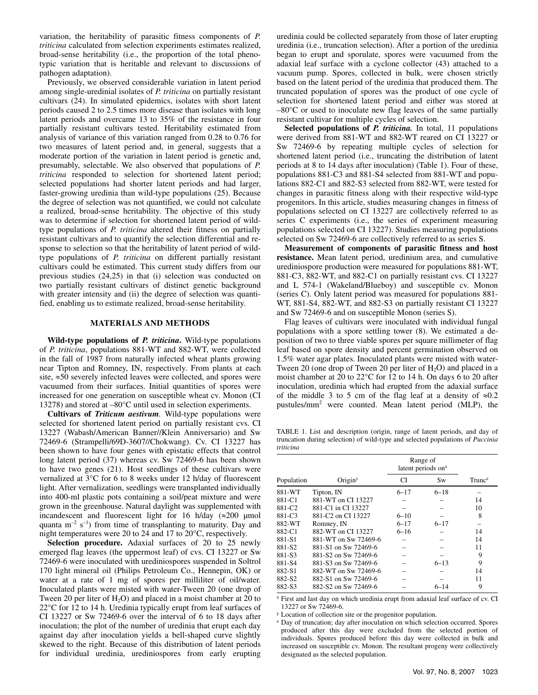variation, the heritability of parasitic fitness components of *P. triticina* calculated from selection experiments estimates realized, broad-sense heritability (i.e., the proportion of the total phenotypic variation that is heritable and relevant to discussions of pathogen adaptation).

Previously, we observed considerable variation in latent period among single-uredinial isolates of *P. triticina* on partially resistant cultivars (24). In simulated epidemics, isolates with short latent periods caused 2 to 2.5 times more disease than isolates with long latent periods and overcame 13 to 35% of the resistance in four partially resistant cultivars tested. Heritability estimated from analysis of variance of this variation ranged from 0.28 to 0.76 for two measures of latent period and, in general, suggests that a moderate portion of the variation in latent period is genetic and, presumably, selectable. We also observed that populations of *P. triticina* responded to selection for shortened latent period; selected populations had shorter latent periods and had larger, faster-growing uredinia than wild-type populations (25). Because the degree of selection was not quantified, we could not calculate a realized, broad-sense heritability. The objective of this study was to determine if selection for shortened latent period of wildtype populations of *P. triticina* altered their fitness on partially resistant cultivars and to quantify the selection differential and response to selection so that the heritability of latent period of wildtype populations of *P. triticina* on different partially resistant cultivars could be estimated. This current study differs from our previous studies (24,25) in that (i) selection was conducted on two partially resistant cultivars of distinct genetic background with greater intensity and (ii) the degree of selection was quantified, enabling us to estimate realized, broad-sense heritability.

# **MATERIALS AND METHODS**

**Wild-type populations of** *P. triticina***.** Wild-type populations of *P. triticina*, populations 881-WT and 882-WT, were collected in the fall of 1987 from naturally infected wheat plants growing near Tipton and Romney, IN, respectively. From plants at each site, ≈50 severely infected leaves were collected, and spores were vacuumed from their surfaces. Initial quantities of spores were increased for one generation on susceptible wheat cv. Monon (CI 13278) and stored at –80°C until used in selection experiments.

**Cultivars of** *Triticum aestivum.* Wild-type populations were selected for shortened latent period on partially resistant cvs. CI 13227 (Wabash/American Banner//Klein Anniversario) and Sw 72469-6 (Strampelli/69D-3607//Chokwang). Cv. CI 13227 has been shown to have four genes with epistatic effects that control long latent period (37) whereas cv. Sw 72469-6 has been shown to have two genes (21). Host seedlings of these cultivars were vernalized at 3°C for 6 to 8 weeks under 12 h/day of fluorescent light. After vernalization, seedlings were transplanted individually into 400-ml plastic pots containing a soil/peat mixture and were grown in the greenhouse. Natural daylight was supplemented with incandescent and fluorescent light for 16 h/day  $(\approx 200 \text{ }\mu\text{mol})$ quanta  $m^{-2}$  s<sup>-1</sup>) from time of transplanting to maturity. Day and night temperatures were 20 to 24 and 17 to 20°C, respectively.

**Selection procedure.** Adaxial surfaces of 20 to 25 newly emerged flag leaves (the uppermost leaf) of cvs. CI 13227 or Sw 72469-6 were inoculated with urediniospores suspended in Soltrol 170 light mineral oil (Philips Petroleum Co., Hennepin, OK) or water at a rate of 1 mg of spores per milliliter of oil/water. Inoculated plants were misted with water-Tween 20 (one drop of Tween 20 per liter of  $H_2O$ ) and placed in a moist chamber at 20 to 22°C for 12 to 14 h. Uredinia typically erupt from leaf surfaces of CI 13227 or Sw 72469-6 over the interval of 6 to 18 days after inoculation; the plot of the number of uredinia that erupt each day against day after inoculation yields a bell-shaped curve slightly skewed to the right. Because of this distribution of latent periods for individual uredinia, urediniospores from early erupting

uredinia could be collected separately from those of later erupting uredinia (i.e., truncation selection). After a portion of the uredinia began to erupt and sporulate, spores were vacuumed from the adaxial leaf surface with a cyclone collector (43) attached to a vacuum pump. Spores, collected in bulk, were chosen strictly based on the latent period of the uredinia that produced them. The truncated population of spores was the product of one cycle of selection for shortened latent period and either was stored at –80°C or used to inoculate new flag leaves of the same partially resistant cultivar for multiple cycles of selection.

**Selected populations of** *P. triticina.* In total, 11 populations were derived from 881-WT and 882-WT reared on CI 13227 or Sw 72469-6 by repeating multiple cycles of selection for shortened latent period (i.e., truncating the distribution of latent periods at 8 to 14 days after inoculation) (Table 1). Four of these, populations 881-C3 and 881-S4 selected from 881-WT and populations 882-C1 and 882-S3 selected from 882-WT, were tested for changes in parasitic fitness along with their respective wild-type progenitors. In this article, studies measuring changes in fitness of populations selected on CI 13227 are collectively referred to as series C experiments (i.e., the series of experiment measuring populations selected on CI 13227). Studies measuring populations selected on Sw 72469-6 are collectively referred to as series S.

**Measurement of components of parasitic fitness and host resistance.** Mean latent period, uredinium area, and cumulative urediniospore production were measured for populations 881-WT, 881-C3, 882-WT, and 882-C1 on partially resistant cvs. CI 13227 and L 574-1 (Wakeland/Blueboy) and susceptible cv. Monon (series C). Only latent period was measured for populations 881- WT, 881-S4, 882-WT, and 882-S3 on partially resistant CI 13227 and Sw 72469-6 and on susceptible Monon (series S).

Flag leaves of cultivars were inoculated with individual fungal populations with a spore settling tower (8). We estimated a deposition of two to three viable spores per square millimeter of flag leaf based on spore density and percent germination observed on 1.5% water agar plates. Inoculated plants were misted with water-Tween 20 (one drop of Tween 20 per liter of  $H_2O$ ) and placed in a moist chamber at 20 to 22°C for 12 to 14 h. On days 6 to 20 after inoculation, uredinia which had erupted from the adaxial surface of the middle 3 to 5 cm of the flag leaf at a density of  $\approx 0.2$ pustules/mm2 were counted. Mean latent period (MLP), the

TABLE 1. List and description (origin, range of latent periods, and day of truncation during selection) of wild-type and selected populations of *Puccinia triticina*

|                    |                                | Range of<br>latent periods on <sup>x</sup> |          |                    |
|--------------------|--------------------------------|--------------------------------------------|----------|--------------------|
| Population         | Origin <sup>y</sup>            | CI                                         | Sw       | Trunc <sup>z</sup> |
| 881-WT             | Tipton, IN                     | $6 - 17$                                   | $6 - 18$ |                    |
| 881-C1             | 881-WT on CI 13227             |                                            |          | 14                 |
| 881-C <sub>2</sub> | 881-C1 in CI 13227             |                                            |          | 10                 |
| 881-C3             | 881-C <sub>2</sub> on CI 13227 | $6 - 10$                                   |          | 8                  |
| 882-WT             | Romney, IN                     | $6 - 17$                                   | $6 - 17$ |                    |
| 882-C1             | 882-WT on CI 13227             | $6 - 16$                                   |          | 14                 |
| 881-S1             | 881-WT on Sw 72469-6           |                                            |          | 14                 |
| 881-S2             | 881-S1 on Sw 72469-6           |                                            |          | 11                 |
| 881-S3             | 881-S2 on Sw 72469-6           |                                            |          | 9                  |
| 881-S4             | 881-S3 on Sw 72469-6           |                                            | $6 - 13$ | 9                  |
| 882-S1             | 882-WT on Sw 72469-6           |                                            |          | 14                 |
| 882-S2             | 882-S1 on Sw 72469-6           |                                            |          | 11                 |
| 882-S3             | 882-S2 on Sw 72469-6           |                                            | $6 - 14$ | 9                  |

x First and last day on which uredinia erupt from adaxial leaf surface of cv. CI 13227 or Sw 72469-6.

y Location of collection site or the progenitor population.

<sup>z</sup> Day of truncation; day after inoculation on which selection occurred. Spores produced after this day were excluded from the selected portion of individuals. Spores produced before this day were collected in bulk and increased on susceptible cv. Monon. The resultant progeny were collectively designated as the selected population.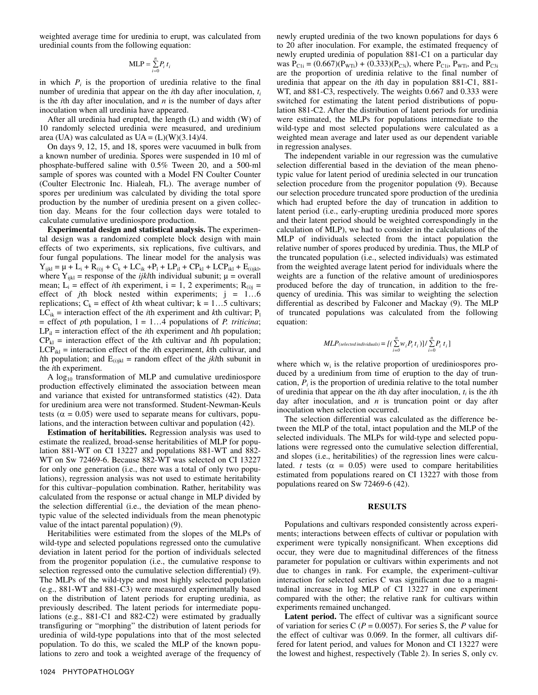weighted average time for uredinia to erupt, was calculated from uredinial counts from the following equation:

$$
MLP = \sum_{i=0}^{n} P_i t_i
$$

in which  $P_i$  is the proportion of uredinia relative to the final number of uredinia that appear on the *i*th day after inoculation, *ti* is the *i*th day after inoculation, and *n* is the number of days after inoculation when all uredinia have appeared.

After all uredinia had erupted, the length (L) and width (W) of 10 randomly selected uredinia were measured, and uredinium area (UA) was calculated as  $UA = (L)(W)(3.14)/4$ .

On days 9, 12, 15, and 18, spores were vacuumed in bulk from a known number of uredinia. Spores were suspended in 10 ml of phosphate-buffered saline with 0.5% Tween 20, and a 500-ml sample of spores was counted with a Model FN Coulter Counter (Coulter Electronic Inc. Hialeah, FL). The average number of spores per uredinium was calculated by dividing the total spore production by the number of uredinia present on a given collection day. Means for the four collection days were totaled to calculate cumulative urediniospore production.

**Experimental design and statistical analysis.** The experimental design was a randomized complete block design with main effects of two experiments, six replications, five cultivars, and four fungal populations. The linear model for the analysis was  $Y_{ijkl} = \mu + L_i + R_{(i)j} + C_k + LC_{ik} + P_l + LP_{il} + CP_{kl} + LCP_{ikl} + E_{(i)jkl},$ where  $Y_{ijkl}$  = response of the *ijkl*th individual subunit;  $\mu$  = overall mean;  $L_i$  = effect of *i*th experiment, i = 1, 2 experiments;  $R_{(i)i}$  = effect of *j*th block nested within experiments; j = 1…6 replications;  $C_k$  = effect of *k*th wheat cultivar;  $k = 1...5$  cultivars;  $LC_{ik}$  = interaction effect of the *i*th experiment and *k*th cultivar;  $P_1$  $=$  effect of *p*th population,  $l = 1...4$  populations of *P. triticina*;  $LP<sub>il</sub>$  = interaction effect of the *i*th experiment and *l*th population;  $CP_{kl}$  = interaction effect of the *k*th cultivar and *l*th population;  $LCP<sub>ikl</sub>$  = interaction effect of the *i*th experiment, *k*th cultivar, and *l*th population; and  $E_{(i)jkl}$  = random effect of the *jkl*th subunit in the *i*th experiment.

A  $log_{10}$  transformation of MLP and cumulative urediniospore production effectively eliminated the association between mean and variance that existed for untransformed statistics (42). Data for uredinium area were not transformed. Student-Newman-Keuls tests ( $\alpha$  = 0.05) were used to separate means for cultivars, populations, and the interaction between cultivar and population (42).

**Estimation of heritabilities.** Regression analysis was used to estimate the realized, broad-sense heritabilities of MLP for population 881-WT on CI 13227 and populations 881-WT and 882- WT on Sw 72469-6. Because 882-WT was selected on CI 13227 for only one generation (i.e., there was a total of only two populations), regression analysis was not used to estimate heritability for this cultivar–population combination. Rather, heritability was calculated from the response or actual change in MLP divided by the selection differential (i.e., the deviation of the mean phenotypic value of the selected individuals from the mean phenotypic value of the intact parental population) (9).

Heritabilities were estimated from the slopes of the MLPs of wild-type and selected populations regressed onto the cumulative deviation in latent period for the portion of individuals selected from the progenitor population (i.e., the cumulative response to selection regressed onto the cumulative selection differential) (9). The MLPs of the wild-type and most highly selected population (e.g., 881-WT and 881-C3) were measured experimentally based on the distribution of latent periods for erupting uredinia, as previously described. The latent periods for intermediate populations (e.g., 881-C1 and 882-C2) were estimated by gradually transfiguring or "morphing" the distribution of latent periods for uredinia of wild-type populations into that of the most selected population. To do this, we scaled the MLP of the known populations to zero and took a weighted average of the frequency of

newly erupted uredinia of the two known populations for days 6 to 20 after inoculation. For example, the estimated frequency of newly erupted uredinia of population 881-C1 on a particular day was  $P_{\text{C1i}} = (0.667)(P_{\text{WTi}}) + (0.333)(P_{\text{C3i}})$ , where  $P_{\text{C1i}}$ ,  $P_{\text{WTi}}$ , and  $P_{\text{C3i}}$ are the proportion of uredinia relative to the final number of uredinia that appear on the *i*th day in population 881-C1, 881- WT, and 881-C3, respectively. The weights 0.667 and 0.333 were switched for estimating the latent period distributions of population 881-C2. After the distribution of latent periods for uredinia were estimated, the MLPs for populations intermediate to the wild-type and most selected populations were calculated as a weighted mean average and later used as our dependent variable in regression analyses.

The independent variable in our regression was the cumulative selection differential based in the deviation of the mean phenotypic value for latent period of uredinia selected in our truncation selection procedure from the progenitor population (9). Because our selection procedure truncated spore production of the uredinia which had erupted before the day of truncation in addition to latent period (i.e., early-erupting uredinia produced more spores and their latent period should be weighted correspondingly in the calculation of MLP), we had to consider in the calculations of the MLP of individuals selected from the intact population the relative number of spores produced by uredinia. Thus, the MLP of the truncated population (i.e., selected individuals) was estimated from the weighted average latent period for individuals where the weights are a function of the relative amount of urediniospores produced before the day of truncation, in addition to the frequency of uredinia. This was similar to weighting the selection differential as described by Falconer and Mackay (9). The MLP of truncated populations was calculated from the following equation:

$$
MLP_{\text{(selected individuals)}} = \left\{ \left( \sum_{i=0}^{n} w_i P_i t_i \right) \right\} / \sum_{i=0}^{n} P_i t_i \right\}
$$

where which  $w_i$  is the relative proportion of urediniospores produced by a uredinium from time of eruption to the day of truncation,  $P_i$  is the proportion of uredinia relative to the total number of uredinia that appear on the *i*th day after inoculation,  $t_i$  is the *i*th day after inoculation, and  $n$  is truncation point or day after inoculation when selection occurred.

The selection differential was calculated as the difference between the MLP of the total, intact population and the MLP of the selected individuals. The MLPs for wild-type and selected populations were regressed onto the cumulative selection differential, and slopes (i.e., heritabilities) of the regression lines were calculated. *t* tests ( $\alpha = 0.05$ ) were used to compare heritabilities estimated from populations reared on CI 13227 with those from populations reared on Sw 72469-6 (42).

## **RESULTS**

Populations and cultivars responded consistently across experiments; interactions between effects of cultivar or population with experiment were typically nonsignificant. When exceptions did occur, they were due to magnitudinal differences of the fitness parameter for population or cultivars within experiments and not due to changes in rank. For example, the experiment–cultivar interaction for selected series C was significant due to a magnitudinal increase in log MLP of CI 13227 in one experiment compared with the other; the relative rank for cultivars within experiments remained unchanged.

Latent period. The effect of cultivar was a significant source of variation for series C (*P* = 0.0057). For series S, the *P* value for the effect of cultivar was 0.069. In the former, all cultivars differed for latent period, and values for Monon and CI 13227 were the lowest and highest, respectively (Table 2). In series S, only cv.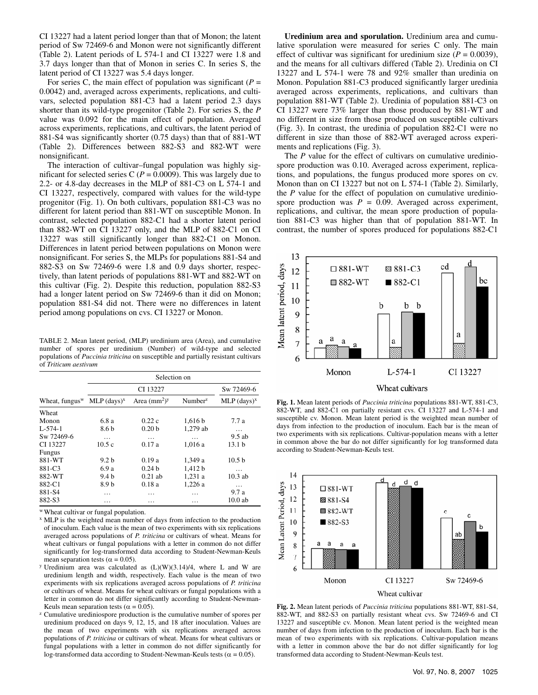CI 13227 had a latent period longer than that of Monon; the latent period of Sw 72469-6 and Monon were not significantly different (Table 2). Latent periods of L 574-1 and CI 13227 were 1.8 and 3.7 days longer than that of Monon in series C. In series S, the latent period of CI 13227 was 5.4 days longer.

For series C, the main effect of population was significant ( $P =$ 0.0042) and, averaged across experiments, replications, and cultivars, selected population 881-C3 had a latent period 2.3 days shorter than its wild-type progenitor (Table 2). For series S, the *P* value was 0.092 for the main effect of population. Averaged across experiments, replications, and cultivars, the latent period of 881-S4 was significantly shorter (0.75 days) than that of 881-WT (Table 2). Differences between 882-S3 and 882-WT were nonsignificant.

The interaction of cultivar–fungal population was highly significant for selected series C ( $P = 0.0009$ ). This was largely due to 2.2- or 4.8-day decreases in the MLP of 881-C3 on L 574-1 and CI 13227, respectively, compared with values for the wild-type progenitor (Fig. 1). On both cultivars, population 881-C3 was no different for latent period than 881-WT on susceptible Monon. In contrast, selected population 882-C1 had a shorter latent period than 882-WT on CI 13227 only, and the MLP of 882-C1 on CI 13227 was still significantly longer than 882-C1 on Monon. Differences in latent period between populations on Monon were nonsignificant. For series S, the MLPs for populations 881-S4 and 882-S3 on Sw 72469-6 were 1.8 and 0.9 days shorter, respectively, than latent periods of populations 881-WT and 882-WT on this cultivar (Fig. 2). Despite this reduction, population 882-S3 had a longer latent period on Sw 72469-6 than it did on Monon; population 881-S4 did not. There were no differences in latent period among populations on cvs. CI 13227 or Monon.

TABLE 2. Mean latent period, (MLP) uredinium area (Area), and cumulative number of spores per uredinium (Number) of wild-type and selected populations of *Puccinia triticina* on susceptible and partially resistant cultivars of *Triticum aestivum*

|                   | Selection on              |                   |                     |                           |  |
|-------------------|---------------------------|-------------------|---------------------|---------------------------|--|
|                   | CI 13227                  |                   |                     | Sw 72469-6                |  |
| Wheat, fungus $W$ | $MLP$ (days) <sup>x</sup> | Area $(mm^2)y$    | Number <sup>z</sup> | $MLP$ (days) <sup>x</sup> |  |
| Wheat             |                           |                   |                     |                           |  |
| Monon             | 6.8 a                     | 0.22c             | 1,616 b             | 7.7a                      |  |
| $L - 574 - 1$     | 8.6 <sub>b</sub>          | 0.20 <sub>b</sub> | 1.279 ab            | $\cdots$                  |  |
| Sw 72469-6        | $\cdots$                  | $\cdots$          | $\cdots$            | $9.5$ ab                  |  |
| CI 13227          | 10.5c                     | 0.17a             | 1.016a              | 13.1 <sub>b</sub>         |  |
| <b>Fungus</b>     |                           |                   |                     |                           |  |
| 881-WT            | 9.2 h                     | 0.19a             | 1,349 a             | 10.5 <sub>b</sub>         |  |
| 881-C3            | 6.9 a                     | 0.24h             | 1,412 b             | $\cdots$                  |  |
| 882-WT            | 9.4 <sub>b</sub>          | $0.21$ ab         | 1,231 a             | $10.3$ ab                 |  |
| 882-C1            | 8.9 b                     | 0.18a             | 1,226 a             | $\cdots$                  |  |
| 881-S4            | .                         | .                 | .                   | 9.7a                      |  |
| 882-S3            | .                         | .                 | .                   | $10.0$ ab                 |  |

w Wheat cultivar or fungal population.

x MLP is the weighted mean number of days from infection to the production of inoculum. Each value is the mean of two experiments with six replications averaged across populations of *P. triticina* or cultivars of wheat. Means for wheat cultivars or fungal populations with a letter in common do not differ significantly for log-transformed data according to Student-Newman-Keuls mean separation tests ( $\alpha$  = 0.05).<br><sup>y</sup> Uredinium area was calculated as (L)(W)(3.14)/4, where L and W are

- uredinium length and width, respectively. Each value is the mean of two experiments with six replications averaged across populations of *P. triticina* or cultivars of wheat. Means for wheat cultivars or fungal populations with a letter in common do not differ significantly according to Student-Newman-<br>Keuls mean separation tests ( $\alpha = 0.05$ ).
- <sup>z</sup> Cumulative urediniospore production is the cumulative number of spores per uredinium produced on days 9, 12, 15, and 18 after inoculation. Values are the mean of two experiments with six replications averaged across populations of *P. triticina* or cultivars of wheat. Means for wheat cultivars or fungal populations with a letter in common do not differ significantly for log-transformed data according to Student-Newman-Keuls tests ( $\alpha$  = 0.05).

**Uredinium area and sporulation.** Uredinium area and cumulative sporulation were measured for series C only. The main effect of cultivar was significant for uredinium size  $(P = 0.0039)$ , and the means for all cultivars differed (Table 2). Uredinia on CI 13227 and L 574-1 were 78 and 92% smaller than uredinia on Monon. Population 881-C3 produced significantly larger uredinia averaged across experiments, replications, and cultivars than population 881-WT (Table 2). Uredinia of population 881-C3 on CI 13227 were 73% larger than those produced by 881-WT and no different in size from those produced on susceptible cultivars (Fig. 3). In contrast, the uredinia of population 882-C1 were no different in size than those of 882-WT averaged across experiments and replications (Fig. 3).

The *P* value for the effect of cultivars on cumulative urediniospore production was 0.10. Averaged across experiment, replications, and populations, the fungus produced more spores on cv. Monon than on CI 13227 but not on L 574-1 (Table 2). Similarly, the *P* value for the effect of population on cumulative urediniospore production was  $P = 0.09$ . Averaged across experiment, replications, and cultivar, the mean spore production of population 881-C3 was higher than that of population 881-WT. In contrast, the number of spores produced for populations 882-C1



**Fig. 1.** Mean latent periods of *Puccinia triticina* populations 881-WT, 881-C3, 882-WT, and 882-C1 on partially resistant cvs. CI 13227 and L-574-1 and susceptible cv. Monon. Mean latent period is the weighted mean number of days from infection to the production of inoculum. Each bar is the mean of two experiments with six replications. Cultivar-population means with a letter in common above the bar do not differ significantly for log transformed data according to Student-Newman-Keuls test.



**Fig. 2.** Mean latent periods of *Puccinia triticina* populations 881-WT, 881-S4, 882-WT, and 882-S3 on partially resistant wheat cvs. Sw 72469-6 and CI 13227 and susceptible cv. Monon. Mean latent period is the weighted mean number of days from infection to the production of inoculum. Each bar is the mean of two experiments with six replications. Cultivar-population means with a letter in common above the bar do not differ significantly for log transformed data according to Student-Newman-Keuls test.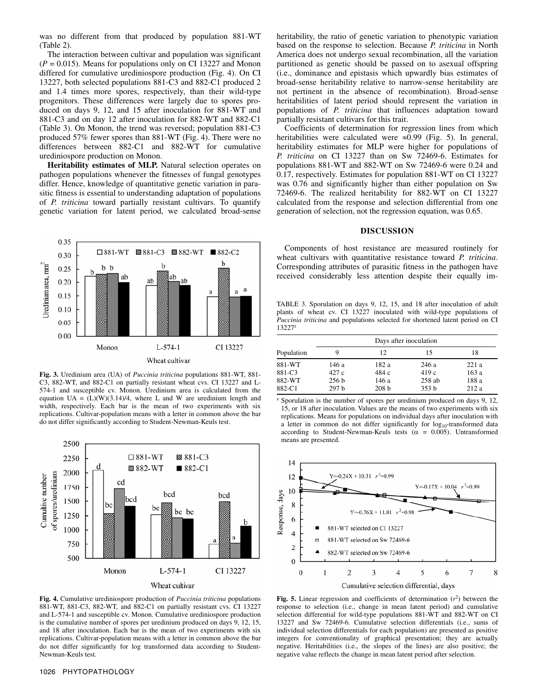was no different from that produced by population 881-WT (Table 2).

The interaction between cultivar and population was significant  $(P = 0.015)$ . Means for populations only on CI 13227 and Monon differed for cumulative urediniospore production (Fig. 4). On CI 13227, both selected populations 881-C3 and 882-C1 produced 2 and 1.4 times more spores, respectively, than their wild-type progenitors. These differences were largely due to spores produced on days 9, 12, and 15 after inoculation for 881-WT and 881-C3 and on day 12 after inoculation for 882-WT and 882-C1 (Table 3). On Monon, the trend was reversed; population 881-C3 produced 57% fewer spores than 881-WT (Fig. 4). There were no differences between 882-C1 and 882-WT for cumulative urediniospore production on Monon.

**Heritability estimates of MLP.** Natural selection operates on pathogen populations whenever the fitnesses of fungal genotypes differ. Hence, knowledge of quantitative genetic variation in parasitic fitness is essential to understanding adaptation of populations of *P. triticina* toward partially resistant cultivars. To quantify genetic variation for latent period, we calculated broad-sense



**Fig. 3.** Uredinium area (UA) of *Puccinia triticina* populations 881-WT, 881- C3, 882-WT, and 882-C1 on partially resistant wheat cvs. CI 13227 and L-574-1 and susceptible cv. Monon. Uredinium area is calculated from the equation  $UA = (L)(W)(3.14)/4$ , where L and W are uredinium length and width, respectively. Each bar is the mean of two experiments with six replications. Cultivar-population means with a letter in common above the bar do not differ significantly according to Student-Newman-Keuls test.



**Fig. 4.** Cumulative urediniospore production of *Puccinia triticina* populations 881-WT, 881-C3, 882-WT, and 882-C1 on partially resistant cvs. CI 13227 and L-574-1 and susceptible cv. Monon. Cumulative urediniospore production is the cumulative number of spores per uredinium produced on days 9, 12, 15, and 18 after inoculation. Each bar is the mean of two experiments with six replications. Cultivar-population means with a letter in common above the bar do not differ significantly for log transformed data according to Student-Newman-Keuls test.

heritability, the ratio of genetic variation to phenotypic variation based on the response to selection. Because *P. triticina* in North America does not undergo sexual recombination, all the variation partitioned as genetic should be passed on to asexual offspring (i.e., dominance and epistasis which upwardly bias estimates of broad-sense heritability relative to narrow-sense heritability are not pertinent in the absence of recombination). Broad-sense heritabilities of latent period should represent the variation in populations of *P. triticina* that influences adaptation toward partially resistant cultivars for this trait.

Coefficients of determination for regression lines from which heritabilities were calculated were ≈0.99 (Fig. 5). In general, heritability estimates for MLP were higher for populations of *P. triticina* on CI 13227 than on Sw 72469-6. Estimates for populations 881-WT and 882-WT on Sw 72469-6 were 0.24 and 0.17, respectively. Estimates for population 881-WT on CI 13227 was 0.76 and significantly higher than either population on Sw 72469-6. The realized heritability for 882-WT on CI 13227 calculated from the response and selection differential from one generation of selection, not the regression equation, was 0.65.

## **DISCUSSION**

Components of host resistance are measured routinely for wheat cultivars with quantitative resistance toward *P. triticina*. Corresponding attributes of parasitic fitness in the pathogen have received considerably less attention despite their equally im-

TABLE 3. Sporulation on days 9, 12, 15, and 18 after inoculation of adult plants of wheat cv. CI 13227 inoculated with wild-type populations of *Puccinia triticina* and populations selected for shortened latent period on CI 13227z

|                                      | Days after inoculation                     |                                             |                                               |                               |
|--------------------------------------|--------------------------------------------|---------------------------------------------|-----------------------------------------------|-------------------------------|
| Population                           |                                            | 12                                          | 15                                            | 18                            |
| 881-WT<br>881-C3<br>882-WT<br>882-C1 | 146 a<br>427 c<br>256 <sub>b</sub><br>297h | 182 a<br>484 c<br>146 a<br>208 <sub>b</sub> | 246 a<br>419c<br>$258$ ab<br>353 <sub>b</sub> | 221a<br>163a<br>188 a<br>212a |

<sup>z</sup> Sporulation is the number of spores per uredinium produced on days 9, 12, 15, or 18 after inoculation. Values are the means of two experiments with six replications. Means for populations on individual days after inoculation with a letter in common do not differ significantly for  $log_{10}$ -transformed data according to Student-Newman-Keuls tests ( $\alpha = 0.005$ ). Untransformed means are presented.



**Fig. 5.** Linear regression and coefficients of determination  $(r^2)$  between the response to selection (i.e., change in mean latent period) and cumulative selection differential for wild-type populations 881-WT and 882-WT on CI 13227 and Sw 72469-6. Cumulative selection differentials (i.e., sums of individual selection differentials for each population) are presented as positive integers for conventionality of graphical presentation; they are actually negative. Heritabilities (i.e., the slopes of the lines) are also positive; the negative value reflects the change in mean latent period after selection.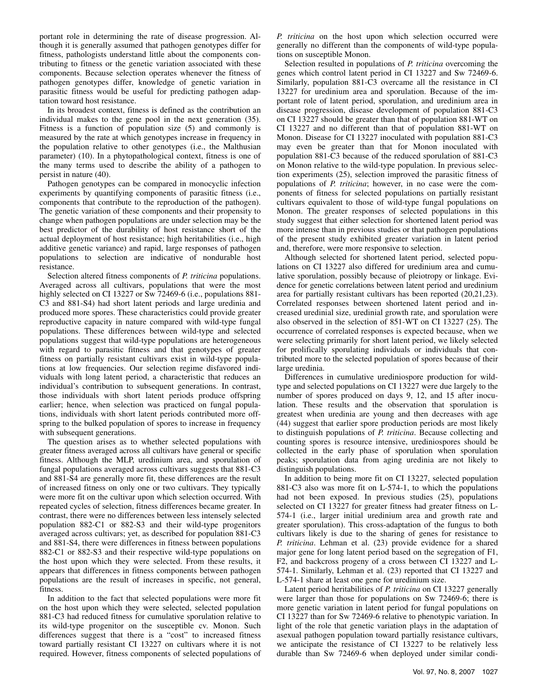portant role in determining the rate of disease progression. Although it is generally assumed that pathogen genotypes differ for fitness, pathologists understand little about the components contributing to fitness or the genetic variation associated with these components. Because selection operates whenever the fitness of pathogen genotypes differ, knowledge of genetic variation in parasitic fitness would be useful for predicting pathogen adaptation toward host resistance.

In its broadest context, fitness is defined as the contribution an individual makes to the gene pool in the next generation (35). Fitness is a function of population size (5) and commonly is measured by the rate at which genotypes increase in frequency in the population relative to other genotypes (i.e., the Malthusian parameter) (10). In a phytopathological context, fitness is one of the many terms used to describe the ability of a pathogen to persist in nature (40).

Pathogen genotypes can be compared in monocyclic infection experiments by quantifying components of parasitic fitness (i.e., components that contribute to the reproduction of the pathogen). The genetic variation of these components and their propensity to change when pathogen populations are under selection may be the best predictor of the durability of host resistance short of the actual deployment of host resistance; high heritabilities (i.e., high additive genetic variance) and rapid, large responses of pathogen populations to selection are indicative of nondurable host resistance.

Selection altered fitness components of *P. triticina* populations. Averaged across all cultivars, populations that were the most highly selected on CI 13227 or Sw 72469-6 (i.e., populations 881- C3 and 881-S4) had short latent periods and large uredinia and produced more spores. These characteristics could provide greater reproductive capacity in nature compared with wild-type fungal populations. These differences between wild-type and selected populations suggest that wild-type populations are heterogeneous with regard to parasitic fitness and that genotypes of greater fitness on partially resistant cultivars exist in wild-type populations at low frequencies. Our selection regime disfavored individuals with long latent period, a characteristic that reduces an individual's contribution to subsequent generations. In contrast, those individuals with short latent periods produce offspring earlier; hence, when selection was practiced on fungal populations, individuals with short latent periods contributed more offspring to the bulked population of spores to increase in frequency with subsequent generations.

The question arises as to whether selected populations with greater fitness averaged across all cultivars have general or specific fitness. Although the MLP, uredinium area, and sporulation of fungal populations averaged across cultivars suggests that 881-C3 and 881-S4 are generally more fit, these differences are the result of increased fitness on only one or two cultivars. They typically were more fit on the cultivar upon which selection occurred. With repeated cycles of selection, fitness differences became greater. In contrast, there were no differences between less intensely selected population 882-C1 or 882-S3 and their wild-type progenitors averaged across cultivars; yet, as described for population 881-C3 and 881-S4, there were differences in fitness between populations 882-C1 or 882-S3 and their respective wild-type populations on the host upon which they were selected. From these results, it appears that differences in fitness components between pathogen populations are the result of increases in specific, not general, fitness.

In addition to the fact that selected populations were more fit on the host upon which they were selected, selected population 881-C3 had reduced fitness for cumulative sporulation relative to its wild-type progenitor on the susceptible cv. Monon. Such differences suggest that there is a "cost" to increased fitness toward partially resistant CI 13227 on cultivars where it is not required. However, fitness components of selected populations of

*P. triticina* on the host upon which selection occurred were generally no different than the components of wild-type populations on susceptible Monon.

Selection resulted in populations of *P. triticina* overcoming the genes which control latent period in CI 13227 and Sw 72469-6. Similarly, population 881-C3 overcame all the resistance in CI 13227 for uredinium area and sporulation. Because of the important role of latent period, sporulation, and uredinium area in disease progression, disease development of population 881-C3 on CI 13227 should be greater than that of population 881-WT on CI 13227 and no different than that of population 881-WT on Monon. Disease for CI 13227 inoculated with population 881-C3 may even be greater than that for Monon inoculated with population 881-C3 because of the reduced sporulation of 881-C3 on Monon relative to the wild-type population. In previous selection experiments (25), selection improved the parasitic fitness of populations of *P. triticina*; however, in no case were the components of fitness for selected populations on partially resistant cultivars equivalent to those of wild-type fungal populations on Monon. The greater responses of selected populations in this study suggest that either selection for shortened latent period was more intense than in previous studies or that pathogen populations of the present study exhibited greater variation in latent period and, therefore, were more responsive to selection.

Although selected for shortened latent period, selected populations on CI 13227 also differed for uredinium area and cumulative sporulation, possibly because of pleiotropy or linkage. Evidence for genetic correlations between latent period and uredinium area for partially resistant cultivars has been reported (20,21,23). Correlated responses between shortened latent period and increased uredinial size, uredinial growth rate, and sporulation were also observed in the selection of 851-WT on CI 13227 (25). The occurrence of correlated responses is expected because, when we were selecting primarily for short latent period, we likely selected for prolifically sporulating individuals or individuals that contributed more to the selected population of spores because of their large uredinia.

Differences in cumulative urediniospore production for wildtype and selected populations on CI 13227 were due largely to the number of spores produced on days 9, 12, and 15 after inoculation. These results and the observation that sporulation is greatest when uredinia are young and then decreases with age (44) suggest that earlier spore production periods are most likely to distinguish populations of *P. triticina*. Because collecting and counting spores is resource intensive, urediniospores should be collected in the early phase of sporulation when sporulation peaks; sporulation data from aging uredinia are not likely to distinguish populations.

In addition to being more fit on CI 13227, selected population 881-C3 also was more fit on L-574-1, to which the populations had not been exposed. In previous studies (25), populations selected on CI 13227 for greater fitness had greater fitness on L-574-1 (i.e., larger initial uredinium area and growth rate and greater sporulation). This cross-adaptation of the fungus to both cultivars likely is due to the sharing of genes for resistance to *P. triticina*. Lehman et al. (23) provide evidence for a shared major gene for long latent period based on the segregation of F1, F2, and backcross progeny of a cross between CI 13227 and L-574-1. Similarly, Lehman et al. (23) reported that CI 13227 and L-574-1 share at least one gene for uredinium size.

Latent period heritabilities of *P. triticina* on CI 13227 generally were larger than those for populations on Sw 72469-6; there is more genetic variation in latent period for fungal populations on CI 13227 than for Sw 72469-6 relative to phenotypic variation. In light of the role that genetic variation plays in the adaptation of asexual pathogen population toward partially resistance cultivars, we anticipate the resistance of CI 13227 to be relatively less durable than Sw 72469-6 when deployed under similar condi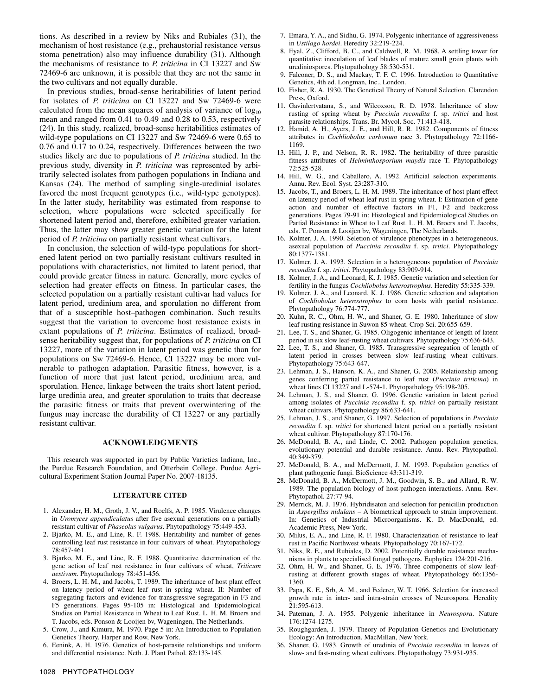tions. As described in a review by Niks and Rubiales (31), the mechanism of host resistance (e.g., prehaustorial resistance versus stoma penetration) also may influence durability (31). Although the mechanisms of resistance to *P. triticina* in CI 13227 and Sw 72469-6 are unknown, it is possible that they are not the same in the two cultivars and not equally durable.

In previous studies, broad-sense heritabilities of latent period for isolates of *P. triticina* on CI 13227 and Sw 72469-6 were calculated from the mean squares of analysis of variance of  $log_{10}$ mean and ranged from 0.41 to 0.49 and 0.28 to 0.53, respectively (24). In this study, realized, broad-sense heritabilities estimates of wild-type populations on CI 13227 and Sw 72469-6 were 0.65 to 0.76 and 0.17 to 0.24, respectively. Differences between the two studies likely are due to populations of *P. triticina* studied. In the previous study, diversity in *P. triticina* was represented by arbitrarily selected isolates from pathogen populations in Indiana and Kansas (24). The method of sampling single-uredinial isolates favored the most frequent genotypes (i.e., wild-type genotypes). In the latter study, heritability was estimated from response to selection, where populations were selected specifically for shortened latent period and, therefore, exhibited greater variation. Thus, the latter may show greater genetic variation for the latent period of *P. triticina* on partially resistant wheat cultivars.

In conclusion, the selection of wild-type populations for shortened latent period on two partially resistant cultivars resulted in populations with characteristics, not limited to latent period, that could provide greater fitness in nature. Generally, more cycles of selection had greater effects on fitness. In particular cases, the selected population on a partially resistant cultivar had values for latent period, uredinium area, and sporulation no different from that of a susceptible host–pathogen combination. Such results suggest that the variation to overcome host resistance exists in extant populations of *P. triticina*. Estimates of realized, broadsense heritability suggest that, for populations of *P. triticina* on CI 13227, more of the variation in latent period was genetic than for populations on Sw 72469-6. Hence, CI 13227 may be more vulnerable to pathogen adaptation. Parasitic fitness, however, is a function of more that just latent period, uredinium area, and sporulation. Hence, linkage between the traits short latent period, large uredinia area, and greater sporulation to traits that decrease the parasitic fitness or traits that prevent overwintering of the fungus may increase the durability of CI 13227 or any partially resistant cultivar.

### **ACKNOWLEDGMENTS**

This research was supported in part by Public Varieties Indiana, Inc., the Purdue Research Foundation, and Otterbein College. Purdue Agricultural Experiment Station Journal Paper No. 2007-18135.

#### **LITERATURE CITED**

- 1. Alexander, H. M., Groth, J. V., and Roelfs, A. P. 1985. Virulence changes in *Uromyces appendiculatus* after five asexual generations on a partially resistant cultivar of *Phaseolus vulgarus*. Phytopathology 75:449-453.
- 2. Bjarko, M. E., and Line, R. F. 1988. Heritability and number of genes controlling leaf rust resistance in four cultivars of wheat. Phytopathology 78:457-461.
- 3. Bjarko, M. E., and Line, R. F. 1988. Quantitative determination of the gene action of leaf rust resistance in four cultivars of wheat, *Triticum aestivum*. Phytopathology 78:451-456.
- 4. Broers, L. H. M., and Jacobs, T. 1989. The inheritance of host plant effect on latency period of wheat leaf rust in spring wheat. II: Number of segregating factors and evidence for transgressive segregation in F3 and F5 generations. Pages 95-105 in: Histological and Epidemiological Studies on Partial Resistance in Wheat to Leaf Rust. L. H. M. Broers and T. Jacobs, eds. Ponson & Looijen bv, Wageningen, The Netherlands.
- 5. Crow, J., and Kimura, M. 1970. Page 5 in: An Introduction to Population Genetics Theory. Harper and Row, New York.
- 6. Eenink, A. H. 1976. Genetics of host-parasite relationships and uniform and differential resistance. Neth. J. Plant Pathol. 82:133-145.
- 7. Emara, Y. A., and Sidhu, G. 1974. Polygenic inheritance of aggressiveness in *Ustilago hordei*. Heredity 32:219-224.
- 8. Eyal, Z., Clifford, B. C., and Caldwell, R. M. 1968. A settling tower for quantitative inoculation of leaf blades of mature small grain plants with urediniospores. Phytopathology 58:530-531.
- 9. Falconer, D. S., and Mackay, T. F. C. 1996. Introduction to Quantitative Genetics, 4th ed. Longman, Inc., London.
- 10. Fisher, R. A. 1930. The Genetical Theory of Natural Selection. Clarendon Press, Oxford.
- 11. Gavinlertvatana, S., and Wilcoxson, R. D. 1978. Inheritance of slow rusting of spring wheat by *Puccinia recondita* f. sp. *tritici* and host parasite relationships. Trans. Br. Mycol. Soc. 71:413-418.
- 12. Hamid, A. H., Ayers, J. E., and Hill, R. R. 1982. Components of fitness attributes in *Cochliobolus carbonum* race 3. Phytopathology 72:1166- 1169.
- 13. Hill, J. P., and Nelson, R. R. 1982. The heritability of three parasitic fitness attributes of *Helminthosporium maydis* race T. Phytopathology 72:525-528.
- 14. Hill, W. G., and Caballero, A. 1992. Artificial selection experiments. Annu. Rev. Ecol. Syst. 23:287-310.
- 15. Jacobs, T., and Broers, L. H. M. 1989. The inheritance of host plant effect on latency period of wheat leaf rust in spring wheat. I: Estimation of gene action and number of effective factors in F1, F2 and backcross generations. Pages 79-91 in: Histological and Epidemiological Studies on Partial Resistance in Wheat to Leaf Rust. L. H. M. Broers and T. Jacobs, eds. T. Ponson & Looijen bv, Wageningen, The Netherlands.
- 16. Kolmer, J. A. 1990. Seletion of virulence phenotypes in a heterogeneous, asexual population of *Puccinia recondita* f. sp. *tritici*. Phytopathology 80:1377-1381.
- 17. Kolmer, J. A. 1993. Selection in a heterogeneous population of *Puccinia recondita* f. sp. *tritici*. Phytopathology 83:909-914.
- 18. Kolmer, J. A., and Leonard, K. J. 1985. Genetic variation and selection for fertility in the fungus *Cochliobolus heterostrophus*. Heredity 55:335-339.
- 19. Kolmer, J. A., and Leonard, K. J. 1986. Genetic selection and adaptation of *Cochliobolus heterostrophus* to corn hosts with partial resistance. Phytopathology 76:774-777.
- 20. Kuhn, R. C., Ohm, H. W., and Shaner, G. E. 1980. Inheritance of slow leaf rusting resistance in Suwon 85 wheat. Crop Sci. 20:655-659.
- 21. Lee, T. S., and Shaner, G. 1985. Oligogenic inheritance of length of latent period in six slow leaf-rusting wheat cultivars. Phytopathology 75:636-643.
- 22. Lee, T. S., and Shaner, G. 1985. Transgressive segregation of length of latent period in crosses between slow leaf-rusting wheat cultivars. Phytopathology 75:643-647.
- 23. Lehman, J. S., Hanson, K. A., and Shaner, G. 2005. Relationship among genes conferring partial resistance to leaf rust (*Puccinia triticina*) in wheat lines CI 13227 and L-574-1. Phytopathology 95:198-205.
- 24. Lehman, J. S., and Shaner, G. 1996. Genetic variation in latent period among isolates of *Puccinia recondita* f. sp. *tritici* on partially resistant wheat cultivars. Phytopathology 86:633-641.
- 25. Lehman, J. S., and Shaner, G. 1997. Selection of populations in *Puccinia recondita* f. sp. *tritici* for shortened latent period on a partially resistant wheat cultivar. Phytopathology 87:170-176.
- 26. McDonald, B. A., and Linde, C. 2002. Pathogen population genetics, evolutionary potential and durable resistance. Annu. Rev. Phytopathol. 40:349-379.
- 27. McDonald, B. A., and McDermott, J. M. 1993. Population genetics of plant pathogenic fungi. BioScience 43:311-319.
- 28. McDonald, B. A., McDermott, J. M., Goodwin, S. B., and Allard, R. W. 1989. The population biology of host-pathogen interactions. Annu. Rev. Phytopathol. 27:77-94.
- 29. Merrick, M. J. 1976. Hybridisaton and selection for penicillin production in *Aspergillus nidulans –* A biometrical approach to strain improvement. In: Genetics of Industrial Microorganisms. K. D. MacDonald, ed. Academic Press, New York.
- 30. Milus, E. A., and Line, R. F. 1980. Characterization of resistance to leaf rust in Pacific Northwest wheats. Phytopathology 70:167-172.
- 31. Niks, R. E., and Rubiales, D. 2002. Potentially durable resistance mechanisms in plants to specialised fungal pathogens. Euphytica 124:201-216.
- 32. Ohm, H. W., and Shaner, G. E. 1976. Three components of slow leafrusting at different growth stages of wheat. Phytopathology 66:1356- 1360.
- 33. Papa, K. E., Srb, A. M., and Federer, W. T. 1966. Selection for increased growth rate in inter- and intra-strain crosses of Neurospora. Heredity 21:595-613.
- 34. Pateman, J. A. 1955. Polygenic inheritance in *Neurospora*. Nature 176:1274-1275.
- 35. Roughgarden, J. 1979. Theory of Population Genetics and Evolutionary Ecology: An Introduction. MacMillan, New York.
- 36. Shaner, G. 1983. Growth of uredinia of *Puccinia recondita* in leaves of slow- and fast-rusting wheat cultivars. Phytopathology 73:931-935.